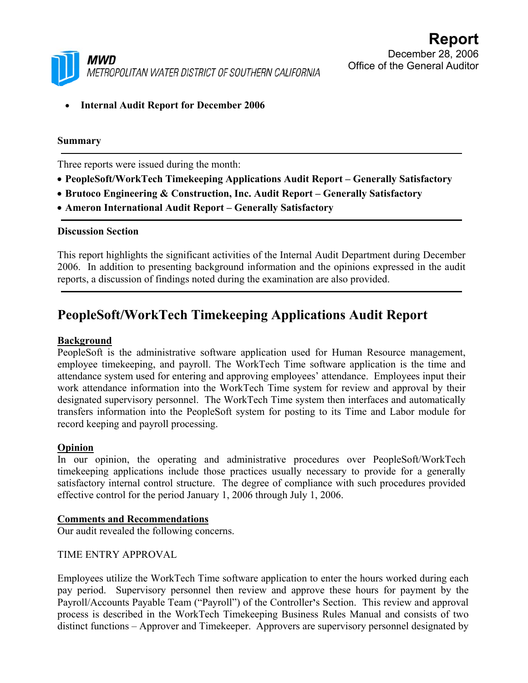

• **Internal Audit Report for December 2006** 

#### **Summary**

Three reports were issued during the month:

- **PeopleSoft/WorkTech Timekeeping Applications Audit Report Generally Satisfactory**
- **Brutoco Engineering & Construction, Inc. Audit Report Generally Satisfactory**
- **Ameron International Audit Report Generally Satisfactory**

#### **Discussion Section**

This report highlights the significant activities of the Internal Audit Department during December 2006. In addition to presenting background information and the opinions expressed in the audit reports, a discussion of findings noted during the examination are also provided.

## **PeopleSoft/WorkTech Timekeeping Applications Audit Report**

#### **Background**

PeopleSoft is the administrative software application used for Human Resource management, employee timekeeping, and payroll. The WorkTech Time software application is the time and attendance system used for entering and approving employees' attendance. Employees input their work attendance information into the WorkTech Time system for review and approval by their designated supervisory personnel. The WorkTech Time system then interfaces and automatically transfers information into the PeopleSoft system for posting to its Time and Labor module for record keeping and payroll processing.

#### **Opinion**

In our opinion, the operating and administrative procedures over PeopleSoft/WorkTech timekeeping applications include those practices usually necessary to provide for a generally satisfactory internal control structure. The degree of compliance with such procedures provided effective control for the period January 1, 2006 through July 1, 2006.

#### **Comments and Recommendations**

Our audit revealed the following concerns.

### TIME ENTRY APPROVAL

Employees utilize the WorkTech Time software application to enter the hours worked during each pay period. Supervisory personnel then review and approve these hours for payment by the Payroll/Accounts Payable Team ("Payroll") of the Controller**'**s Section. This review and approval process is described in the WorkTech Timekeeping Business Rules Manual and consists of two distinct functions – Approver and Timekeeper. Approvers are supervisory personnel designated by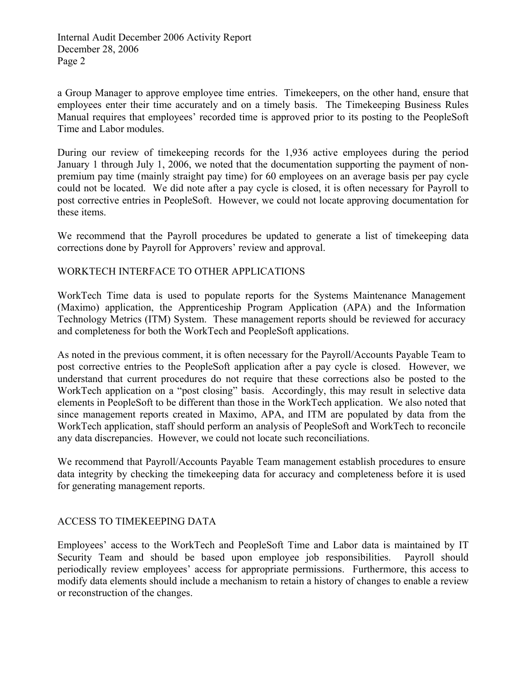a Group Manager to approve employee time entries. Timekeepers, on the other hand, ensure that employees enter their time accurately and on a timely basis. The Timekeeping Business Rules Manual requires that employees' recorded time is approved prior to its posting to the PeopleSoft Time and Labor modules.

During our review of timekeeping records for the 1,936 active employees during the period January 1 through July 1, 2006, we noted that the documentation supporting the payment of nonpremium pay time (mainly straight pay time) for 60 employees on an average basis per pay cycle could not be located. We did note after a pay cycle is closed, it is often necessary for Payroll to post corrective entries in PeopleSoft. However, we could not locate approving documentation for these items.

We recommend that the Payroll procedures be updated to generate a list of timekeeping data corrections done by Payroll for Approvers' review and approval.

### WORKTECH INTERFACE TO OTHER APPLICATIONS

WorkTech Time data is used to populate reports for the Systems Maintenance Management (Maximo) application, the Apprenticeship Program Application (APA) and the Information Technology Metrics (ITM) System. These management reports should be reviewed for accuracy and completeness for both the WorkTech and PeopleSoft applications.

As noted in the previous comment, it is often necessary for the Payroll/Accounts Payable Team to post corrective entries to the PeopleSoft application after a pay cycle is closed. However, we understand that current procedures do not require that these corrections also be posted to the WorkTech application on a "post closing" basis. Accordingly, this may result in selective data elements in PeopleSoft to be different than those in the WorkTech application. We also noted that since management reports created in Maximo, APA, and ITM are populated by data from the WorkTech application, staff should perform an analysis of PeopleSoft and WorkTech to reconcile any data discrepancies. However, we could not locate such reconciliations.

We recommend that Payroll/Accounts Payable Team management establish procedures to ensure data integrity by checking the timekeeping data for accuracy and completeness before it is used for generating management reports.

## ACCESS TO TIMEKEEPING DATA

Employees' access to the WorkTech and PeopleSoft Time and Labor data is maintained by IT Security Team and should be based upon employee job responsibilities. Payroll should periodically review employees' access for appropriate permissions. Furthermore, this access to modify data elements should include a mechanism to retain a history of changes to enable a review or reconstruction of the changes.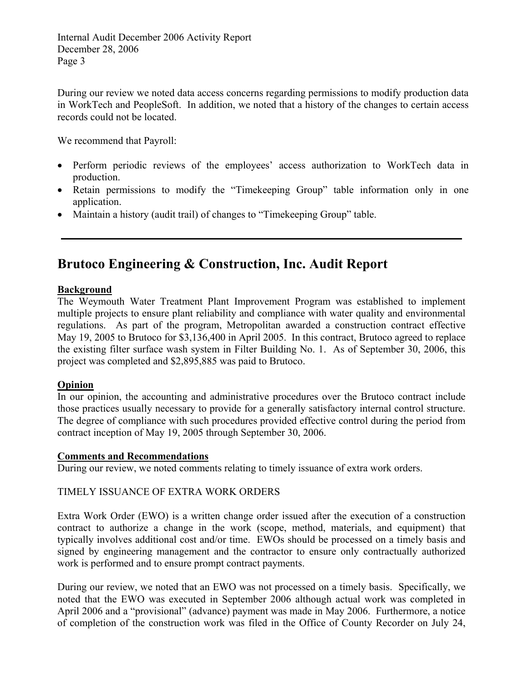During our review we noted data access concerns regarding permissions to modify production data in WorkTech and PeopleSoft. In addition, we noted that a history of the changes to certain access records could not be located.

We recommend that Payroll:

- Perform periodic reviews of the employees' access authorization to WorkTech data in production.
- Retain permissions to modify the "Timekeeping Group" table information only in one application.
- Maintain a history (audit trail) of changes to "Timekeeping Group" table.

# **Brutoco Engineering & Construction, Inc. Audit Report**

### **Background**

The Weymouth Water Treatment Plant Improvement Program was established to implement multiple projects to ensure plant reliability and compliance with water quality and environmental regulations. As part of the program, Metropolitan awarded a construction contract effective May 19, 2005 to Brutoco for \$3,136,400 in April 2005. In this contract, Brutoco agreed to replace the existing filter surface wash system in Filter Building No. 1. As of September 30, 2006, this project was completed and \$2,895,885 was paid to Brutoco.

## **Opinion**

In our opinion, the accounting and administrative procedures over the Brutoco contract include those practices usually necessary to provide for a generally satisfactory internal control structure. The degree of compliance with such procedures provided effective control during the period from contract inception of May 19, 2005 through September 30, 2006.

#### **Comments and Recommendations**

During our review, we noted comments relating to timely issuance of extra work orders.

## TIMELY ISSUANCE OF EXTRA WORK ORDERS

Extra Work Order (EWO) is a written change order issued after the execution of a construction contract to authorize a change in the work (scope, method, materials, and equipment) that typically involves additional cost and/or time. EWOs should be processed on a timely basis and signed by engineering management and the contractor to ensure only contractually authorized work is performed and to ensure prompt contract payments.

During our review, we noted that an EWO was not processed on a timely basis. Specifically, we noted that the EWO was executed in September 2006 although actual work was completed in April 2006 and a "provisional" (advance) payment was made in May 2006. Furthermore, a notice of completion of the construction work was filed in the Office of County Recorder on July 24,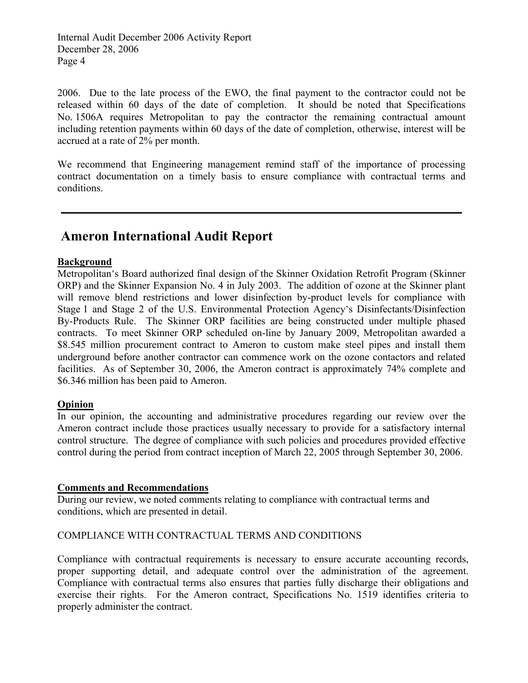Internal Audit December 2006 Activity Report December 28, 2006 Page 4

2006. Due to the late process of the EWO, the final payment to the contractor could not be released within 60 days of the date of completion. It should be noted that Specifications No. 1506A requires Metropolitan to pay the contractor the remaining contractual amount including retention payments within 60 days of the date of completion, otherwise, interest will be accrued at a rate of 2% per month.

We recommend that Engineering management remind staff of the importance of processing contract documentation on a timely basis to ensure compliance with contractual terms and conditions.

## **Ameron International Audit Report**

#### **Background**

Metropolitan's Board authorized final design of the Skinner Oxidation Retrofit Program (Skinner ORP) and the Skinner Expansion No. 4 in July 2003. The addition of ozone at the Skinner plant will remove blend restrictions and lower disinfection by-product levels for compliance with Stage 1 and Stage 2 of the U.S. Environmental Protection Agency's Disinfectants/Disinfection By-Products Rule. The Skinner ORP facilities are being constructed under multiple phased contracts. To meet Skinner ORP scheduled on-line by January 2009, Metropolitan awarded a \$8.545 million procurement contract to Ameron to custom make steel pipes and install them underground before another contractor can commence work on the ozone contactors and related facilities. As of September 30, 2006, the Ameron contract is approximately 74% complete and \$6.346 million has been paid to Ameron.

#### **Opinion**

In our opinion, the accounting and administrative procedures regarding our review over the Ameron contract include those practices usually necessary to provide for a satisfactory internal control structure. The degree of compliance with such policies and procedures provided effective control during the period from contract inception of March 22, 2005 through September 30, 2006.

#### **Comments and Recommendations**

During our review, we noted comments relating to compliance with contractual terms and conditions, which are presented in detail.

#### COMPLIANCE WITH CONTRACTUAL TERMS AND CONDITIONS

Compliance with contractual requirements is necessary to ensure accurate accounting records, proper supporting detail, and adequate control over the administration of the agreement. Compliance with contractual terms also ensures that parties fully discharge their obligations and exercise their rights. For the Ameron contract, Specifications No. 1519 identifies criteria to properly administer the contract.